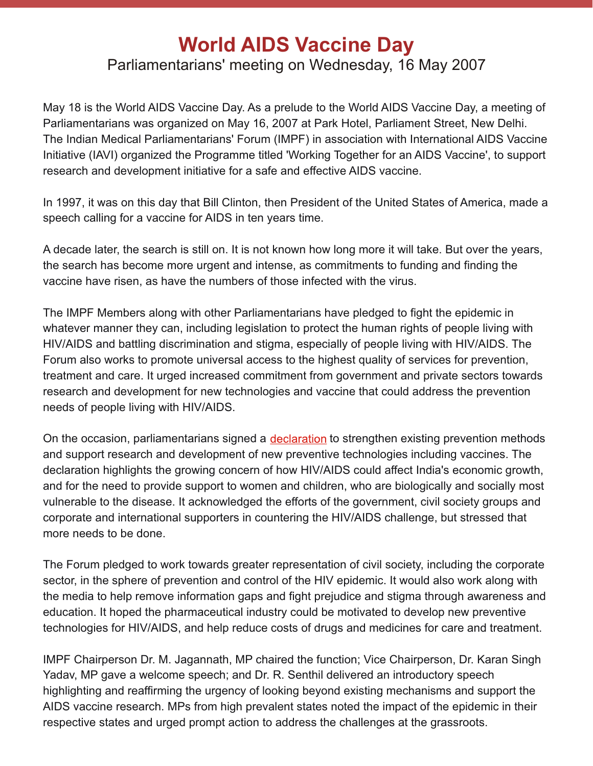## **World AIDS Vaccine Day** Parliamentarians' meeting on Wednesday, 16 May 2007

May 18 is the World AIDS Vaccine Day. As a prelude to the World AIDS Vaccine Day, a meeting of Parliamentarians was organized on May 16, 2007 at Park Hotel, Parliament Street, New Delhi. The Indian Medical Parliamentarians' Forum (IMPF) in association with International AIDS Vaccine Initiative (IAVI) organized the Programme titled 'Working Together for an AIDS Vaccine', to support research and development initiative for a safe and effective AIDS vaccine.

In 1997, it was on this day that Bill Clinton, then President of the United States of America, made a speech calling for a vaccine for AIDS in ten years time.

A decade later, the search is still on. It is not known how long more it will take. But over the years, the search has become more urgent and intense, as commitments to funding and finding the vaccine have risen, as have the numbers of those infected with the virus.

The IMPF Members along with other Parliamentarians have pledged to fight the epidemic in whatever manner they can, including legislation to protect the human rights of people living with HIV/AIDS and battling discrimination and stigma, especially of people living with HIV/AIDS. The Forum also works to promote universal access to the highest quality of services for prevention, treatment and care. It urged increased commitment from government and private sectors towards research and development for new technologies and vaccine that could address the prevention needs of people living with HIV/AIDS.

On the occasion, parliamentarians signed a [declaration](http://www.clraindia.org/include/dec.pdf) to strengthen existing prevention methods and support research and development of new preventive technologies including vaccines. The declaration highlights the growing concern of how HIV/AIDS could affect India's economic growth, and for the need to provide support to women and children, who are biologically and socially most vulnerable to the disease. It acknowledged the efforts of the government, civil society groups and corporate and international supporters in countering the HIV/AIDS challenge, but stressed that more needs to be done.

The Forum pledged to work towards greater representation of civil society, including the corporate sector, in the sphere of prevention and control of the HIV epidemic. It would also work along with the media to help remove information gaps and fight prejudice and stigma through awareness and education. It hoped the pharmaceutical industry could be motivated to develop new preventive technologies for HIV/AIDS, and help reduce costs of drugs and medicines for care and treatment.

IMPF Chairperson Dr. M. Jagannath, MP chaired the function; Vice Chairperson, Dr. Karan Singh Yadav, MP gave a welcome speech; and Dr. R. Senthil delivered an introductory speech highlighting and reaffirming the urgency of looking beyond existing mechanisms and support the AIDS vaccine research. MPs from high prevalent states noted the impact of the epidemic in their respective states and urged prompt action to address the challenges at the grassroots.